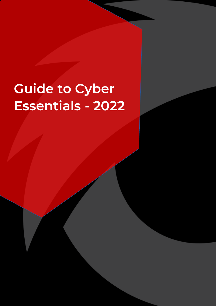# **Guide to Cyber Essentials - 2022**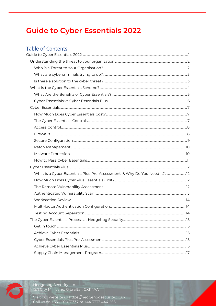# <span id="page-1-0"></span>**Guide to Cyber Essentials 2022**

# **Table of Contents**

| What is a Cyber Essentials Plus Pre-Assessment, & Why Do You Need It? |  |
|-----------------------------------------------------------------------|--|
|                                                                       |  |
|                                                                       |  |
|                                                                       |  |
|                                                                       |  |
|                                                                       |  |
|                                                                       |  |
|                                                                       |  |
|                                                                       |  |
|                                                                       |  |
|                                                                       |  |
|                                                                       |  |
|                                                                       |  |
|                                                                       |  |
|                                                                       |  |
|                                                                       |  |
|                                                                       |  |
|                                                                       |  |
|                                                                       |  |
|                                                                       |  |
|                                                                       |  |
|                                                                       |  |
|                                                                       |  |
|                                                                       |  |
|                                                                       |  |
|                                                                       |  |
|                                                                       |  |
|                                                                       |  |
|                                                                       |  |
|                                                                       |  |
|                                                                       |  |

Hedgehog Security Ltd.<br>12/1 City Mill Lane, Gibraltar, GX11 1AA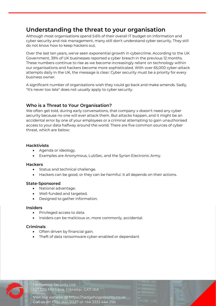# <span id="page-2-0"></span>**Understanding the threat to your organisation**

Although most organisations spend 5.6% of their overall IT budget on information and cyber security and risk management, many still don't understand cyber security. They still do not know how to keep hackers out.

Over the last ten years, we've seen exponential growth in cybercrime. According to the UK Government, 39% of UK businesses reported a cyber breach in the previous 12 months. These numbers continue to rise as we become increasingly reliant on technology within our organisations and hackers become more sophisticated. With over 65,000 cyber-attack attempts daily in the UK, the message is clear: Cyber security must be a priority for every business owner.

A significant number of organisations wish they could go back and make amends. Sadly, "It's never too late" does not usually apply to cyber security.

# <span id="page-2-1"></span>**Who is a Threat to Your Organisation?**

We often get told, during early conversations, that company x doesn't need any cyber security because no one will ever attack them. But attacks happen, and it might be an accidental error by one of your employees or a criminal attempting to gain unauthorised access to your data halfway around the world. There are five common sources of cyber threat, which are below:

#### **Hacktivists**

- Agenda or ideology.
- Examples are Anonymous, LulzSec, and the Syrian Electronic Army.

#### **Hackers**

- Status and technical challenge.
- Hackers can be good, or they can be harmful. It all depends on their actions.

#### **State-Sponsored**

- National advantage.
- Well-funded and targeted.
- Designed to gather information.

#### **Insiders**

- Privileged access to data.
- Insiders can be malicious or, more commonly, accidental.

#### **Criminals**

- Often driven by financial gain.
- Theft of data ransomware cyber-enabled or dependant



Hedgehog Security Ltd. 12/1 City Mill Lane, Gibraltar, GX11 1AA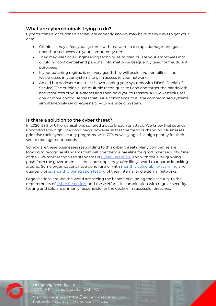# <span id="page-3-0"></span>**What are cybercriminals trying to do?**

Cybercriminals, or criminals as they are correctly known, may have many ways to get your data:

- Criminals may infect your systems with malware to disrupt, damage, and gain unauthorised access to your computer systems.
- They may use Social Engineering techniques to manipulate your employees into divulging confidential and personal information subsequently used for fraudulent purposes.
- If your patching regime is not very good, they will exploit vulnerabilities and weaknesses in your systems to gain access to your network.
- An old but widespread attack is overloading your systems with DDoS (Denial of Service). The criminals use multiple techniques to flood and target the bandwidth and resources of your systems and then hold you to ransom. A DDoS attack uses one or more control servers that issue commands to all the compromised systems simultaneously send requests to your website or system.

# <span id="page-3-1"></span>**Is there a solution to the cyber threat?**

In 2020, 39% of UK organisations suffered a data breach or attack. We know that sounds uncomfortably high. The good news, however, is that the trend is changing. Businesses prioritise their cybersecurity programs, with 77% now saying it is a high priority for their senior management boards.

So how are these businesses responding to this cyber threat? Many companies are looking to recognise standards that will give them a baseline for good cyber security. One of the UK's most recognised standards is [Cyber Essentials,](https://www.ncsc.gov.uk/cyberessentials/overview) and with the ever-growing push from the government, clients and suppliers, you've likely heard that name knocking around. Some organisations have gone further with [monthly vulnerability scanning](https://hedgehogsecurity.co.uk/vulnerability-scanning/) and quarterly or [six monthly penetration testing](https://hedgehogsecurity.co.uk/penetration-testing/) of their internal and external networks.

Organisations around the world are seeing the benefit of aligning their security to the requirements of [Cyber Essentials,](https://hedgehogsecurity.co.uk/cyber-essentials/) and these efforts, in combination with regular security testing and sold are primarily responsible for the decline in successful breaches.



Hedgehog Security Ltd. 12/1 City Mill Lane, Gibraltar, GX11 1AA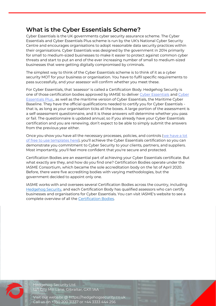# <span id="page-4-0"></span>**What is the Cyber Essentials Scheme?**

Cyber Essentials is the UK governments cyber security assurance scheme. The Cyber Essentials and Cyber Essentials Plus scheme is run by the UK's National Cyber Security Centre and encourages organisations to adopt reasonable data security practices within their organisations. Cyber Essentials was designed by the government in 2014 primarily for small to medium-sized businesses to make it easier to protect against common cyber threats and start to put an end of the ever increasing number of small to medium-sized businesses that were getting digitally compromised by criminals.

The simplest way to think of the Cyber Essentials scheme is to think of it as a cyber security MOT for your business or organisation. You have to fulfil specific requirements to pass successfully, and your assessor will confirm whether you meet these.

For Cyber Essentials, that 'assessor' is called a Certification Body. Hedgehog Security is one of those certification bodies approved by IAMSE to deliver [Cyber Essentials](https://hedgehogsecurity.co.uk/cyber-essentials/) and [Cyber](https://hedgehogsecurity.co.uk/cyber-essentials-plus/)  [Essentials Plus.,](https://hedgehogsecurity.co.uk/cyber-essentials-plus/) as well as the maritime version of Cyber Essentials, the Maritime Cyber Baseline. They have the official qualifications needed to certify you for Cyber Essentials that is, as long as your organisation ticks all the boxes. A large portion of the assessment is a self-assessment questionnaire, and it is these answers will determine whether you pass or fail. The questionnaire is updated annual, so if you already have your Cyber Essentials certification and you are renewing, don't expect to be able to simply submit the answers from the previous year either.

Once you show you have all the necessary processes, policies, and controls (we have a lot [of free to use templates here\)](https://hedgehogsecurity.co.uk/cyber-security-guides/), you'll achieve the Cyber Essentials certification so you can demonstrate you commitment to Cyber Security to your clients, partners, and suppliers. Most importantly, you'll feel more confident that you're secure and protected.

Certification Bodies are an essential part of achieving your Cyber Essentials certificate. But what exactly are they, and how do you find one? Certification Bodies operate under the IASME Consortium, which became the sole accreditation body on the 1st of April 2020. Before, there were five accrediting bodies with varying methodologies, but the government decided to appoint only one.

IASME works with and oversees several Certification Bodies across the country, including [Hedgehog Security,](https://hedgehogsecurity.co.uk/) and each Certification Body has qualified assessors who can certify businesses and organisations for Cyber Essentials. You can visit IASME's website to see a complete overview of all th[e Certification Bodies.](https://iasme.co.uk/certification-bodies/)



Hedgehog Security Ltd. 12/1 City Mill Lane, Gibraltar, GX11 1AA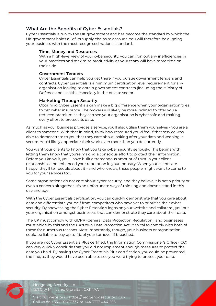## <span id="page-5-0"></span>**What Are the Benefits of Cyber Essentials?**

Cyber Essentials is run by the UK government and has become the standard by which the UK government holds all of its supply chains to account. You will therefore be aligning your business with the most recognised national standard.

#### **Time, Money and Resources**

With a high-level view of your cybersecurity, you can iron out any inefficiencies in your practices and maximise productivity as your team will have more time on their side.

#### **Government Tenders**

Cyber Essentials can help you get there if you pursue government tenders and contracts. Cyber Essentials is a minimum certification level requirement for any organisation looking to obtain government contracts (including the Ministry of Defence and Health), especially in the private sector.

#### **Marketing Through Security**

Obtaining Cyber Essentials can make a big difference when your organisation tries to get cyber insurance. The brokers will likely be more inclined to offer you a reduced premium as they can see your organisation is cyber safe and making every effort to protect its data.

As much as your business provides a service, you'll also utilise them yourselves - you are a client to someone. With that in mind, think how reassured you'd feel if that service was able to demonstrate to you that they care about looking after your data and keeping it secure. You'd likely appreciate their work even more than you do currently.

You want your clients to know that you take cyber security seriously. This begins with letting them know that you're making a conscious effort to protect their information. Before you know it, you'll have built a tremendous amount of trust in your client relationships and enhanced your reputation in your industry. When your clients are happy, they'll tell people about it - and who knows, those people might want to come to you for your services too.

Some organisations do not care about cyber security, and they believe it is not a priority or even a concern altogether. It's an unfortunate way of thinking and doesn't stand in this day and age.

With the Cyber Essentials certification, you can quickly demonstrate that you care about data and differentiate yourself from competitors who have yet to prioritise their cyber security. By showcasing the Cyber Essentials logos on your website and collateral, you put your organisation amongst businesses that can demonstrate they care about their data.

The UK must comply with GDPR (General Data Protection Regulation), and businesses must abide by this and the UK's own Data Protection Act. It's vital to comply with both of these for numerous reasons. Most importantly, though, your business or organisation could be liable to pay up to 4% of your turnover if breached.

If you are not Cyber Essentials Plus certified, the Information Commissioner's Office (ICO) can very quickly conclude that you did not implement enough measures to protect the data you hold. By having the Cyber Essentials Plus certification, you could be prevented the fine, as they would have been able to see you were trying to protect your data.

Hedgehog Security Ltd. 12/1 City Mill Lane, Gibraltar, GX11 1AA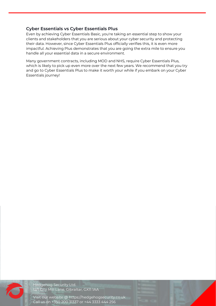# <span id="page-6-0"></span>**Cyber Essentials vs Cyber Essentials Plus**

Even by achieving Cyber Essentials Basic, you're taking an essential step to show your clients and stakeholders that you are serious about your cyber security and protecting their data. However, since Cyber Essentials Plus officially verifies this, it is even more impactful. Achieving Plus demonstrates that you are going the extra mile to ensure you handle all your essential data in a secure environment.

Many government contracts, including MOD and NHS, require Cyber Essentials Plus, which is likely to pick up even more over the next few years. We recommend that you try and go to Cyber Essentials Plus to make it worth your while if you embark on your Cyber Essentials journey!



Hedgehog Security Ltd. 12/1 City Mill Lane, Gibraltar, GX11 1AA

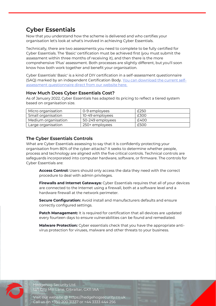# <span id="page-7-0"></span>**Cyber Essentials**

Now that you understand how the scheme is delivered and who certifies your organisation let's look at what's involved in achieving Cyber Essentials.

Technically, there are two assessments you need to complete to be fully certified for Cyber Essentials. The 'Basic' certification must be achieved first (you must submit the assessment within three months of receiving it), and then there is the more comprehensive 'Plus' assessment. Both processes are slightly different, but you'll soon know how both work together and benefit your organisation.

Cyber Essentials' Basic' is a kind of DIY certification in a self-assessment questionnaire (SAQ) marked by an independent Certification Body. [You can download the current self](https://hedgehogsecurity.co.uk/uploads/Question-Set-Cyber-Essentials-only-vEvendine.xlsx)[assessment questionnaire direct from our website here.](https://hedgehogsecurity.co.uk/uploads/Question-Set-Cyber-Essentials-only-vEvendine.xlsx)

## <span id="page-7-1"></span>**How Much Does Cyber Essentials Cost?**

As of January 2022, Cyber Essentials has adapted its pricing to reflect a tiered system based on organisation size.

| Micro organisation  | 0-9 employees    | £250 |
|---------------------|------------------|------|
| Small organisation  | 10-49 employees  | £300 |
| Medium organisation | 50-249 employees | £400 |
| Large organisation  | 250+ employees   | £500 |

# <span id="page-7-2"></span>**The Cyber Essentials Controls**

What are Cyber Essentials assessing to say that it is confidently protecting your organisation from 80% of the cyber-attacks? It seeks to determine whether people, process and technology are aligned with the five critical controls. Technical controls are safeguards incorporated into computer hardware, software, or firmware. The controls for Cyber Essentials are:

**Access Control:** Users should only access the data they need with the correct procedure to deal with admin privileges.

**Firewalls and Internet Gateways:** Cyber Essentials requires that all of your devices are connected to the Internet using a firewall, both at a software level and a hardware firewall at the network perimeter.

**Secure Configuration:** Avoid install and manufacturers defaults and ensure correctly configured settings.

**Patch Management:** It is required for certification that all devices are updated every fourteen days to ensure vulnerabilities can be found and remediated.

**Malware Protection:** Cyber essentials check that you have the appropriate antivirus protection for viruses, malware and other threats to your business.



Hedgehog Security Ltd. 12/1 City Mill Lane, Gibraltar, GX11 1AA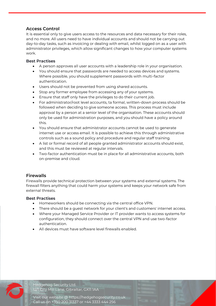# <span id="page-8-0"></span>**Access Control**

It is essential only to give users access to the resources and data necessary for their roles, and no more. All users need to have individual accounts and should not be carrying out day-to-day tasks, such as invoicing or dealing with email, whilst logged on as a user with administrator privileges, which allow significant changes to how your computer systems work.

#### **Best Practises**

- A person approves all user accounts with a leadership role in your organisation.
- You should ensure that passwords are needed to access devices and systems. Where possible, you should supplement passwords with multi-factor authentication.
- Users should not be prevented from using shared accounts.
- Stop any former employee from accessing any of your systems.
- Ensure that staff only have the privileges to do their current job.
- For administrator/root level accounts, ta formal, written-down process should be followed when deciding to give someone access. This process must include approval by a person at a senior level of the organisation. These accounts should only be used for administration purposes, and you should have a policy around this.
- You should ensure that administrator accounts cannot be used to generate internet use or access email. It is possible to achieve this through administrative controls such as a sound policy and procedure and regular staff training.
- A list or formal record of all people granted administrator accounts should exist, and this must be reviewed at regular intervals.
- Two-factor authentication must be in place for all administrative accounts, both on-premise and cloud.

# <span id="page-8-1"></span>**Firewalls**

Firewalls provide technical protection between your systems and external systems. The firewall filters anything that could harm your systems and keeps your network safe from external threats.

#### **Best Practises**

- Homeworkers should be connecting via the central office VPN.
- There should be a guest network for your client's and customers' internet access.
- Where your Managed Service Provider or IT provider wants to access systems for configuration, they should connect over the central VPN and use two-factor authentication.
- All devices must have software level firewalls enabled.



Hedgehog Security Ltd. 12/1 City Mill Lane, Gibraltar, GX11 1AA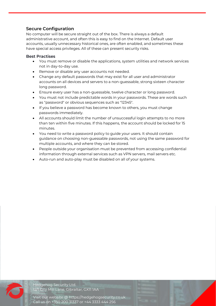# <span id="page-9-0"></span>**Secure Configuration**

No computer will be secure straight out of the box. There is always a default administrative account, and often this is easy to find on the Internet. Default user accounts, usually unnecessary historical ones, are often enabled, and sometimes these have special access privileges. All of these can present security risks.

#### **Best Practises**

- You must remove or disable the applications, system utilities and network services not in day-to-day use.
- Remove or disable any user accounts not needed.
- Change any default passwords that may exist for all user and administrator accounts on all devices and servers to a non-guessable, strong sixteen character long password.
- Ensure every user has a non-guessable, twelve character or long password.
- You must not include predictable words in your passwords. These are words such as "password" or obvious sequences such as "12345".
- If you believe a password has become known to others, you must change passwords immediately.
- All accounts should limit the number of unsuccessful login attempts to no more than ten within five minutes. If this happens, the account should be locked for 15 minutes.
- You need to write a password policy to guide your users. It should contain guidance on choosing non-guessable passwords, not using the same password for multiple accounts, and where they can be stored.
- People outside your organisation must be prevented from accessing confidential information through external services such as VPN servers, mail servers etc.
- Auto-run and auto-play must be disabled on all of your systems.



Hedgehog Security Ltd. 12/1 City Mill Lane, Gibraltar, GX11 1AA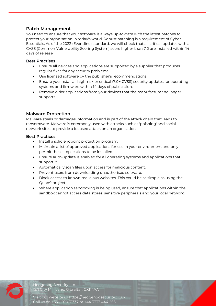# <span id="page-10-0"></span>**Patch Management**

You need to ensure that your software is always up-to-date with the latest patches to protect your organisation in today's world. Robust patching is a requirement of Cyber Essentials. As of the 2022 (Evendine) standard, we will check that all critical updates with a CVSS (Common Vulnerability Scoring System) score higher than 7.0 are installed within 14 days of release.

#### **Best Practises**

- Ensure all devices and applications are supported by a supplier that produces regular fixes for any security problems.
- Use licensed software by the publisher's recommendations.
- Ensure you install all high-risk or critical (7.0+ CVSS) security updates for operating systems and firmware within 14 days of publication.
- Remove older applications from your devices that the manufacturer no longer supports.

# <span id="page-10-1"></span>**Malware Protection**

Malware steals or damages information and is part of the attack chain that leads to ransomware. Malware is commonly used with attacks such as 'phishing' and social network sites to provide a focused attack on an organisation.

#### **Best Practices**

- Install a solid endpoint protection program.
- Maintain a list of approved applications for use in your environment and only permit these applications to be installed.
- Ensure auto-update is enabled for all operating systems and applications that support it.
- Automatically scan files upon access for malicious content.
- Prevent users from downloading unauthorised software.
- Block access to known malicious websites. This could be as simple as using the Quad9 project.
- Where application sandboxing is being used, ensure that applications within the sandbox cannot access data stores, sensitive peripherals and your local network.



Hedgehog Security Ltd. 12/1 City Mill Lane, Gibraltar, GX11 1AA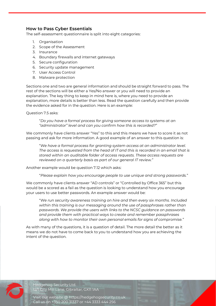## <span id="page-11-0"></span>**How to Pass Cyber Essentials**

The self-assessment questionnaire is split into eight categories:

- 1. Organisation
- 2. Scope of the Assessment
- 3. Insurance
- 4. Boundary firewalls and internet gateways
- 5. Secure configuration
- 6. Security update management
- 7. User Access Control
- 8. Malware protection

Sections one and two are general information and should be straight forward to pass. The rest of the sections will be either a Yes/No answer or you will need to provide an explanation. The key thing to keep in mind here is, where you need to provide an explanation, more details is better than less. Read the question carefully and then provide the evidence asked for in the question. Here is an example:

Question 7.5 asks:

"*Do you have a formal process for giving someone access to systems at an "administrator" level and can you confirm how this is recorded?*"

We commonly have clients answer "Yes" to this and this means we have to score it as not passing and ask for more information. A good example of an answer to this question is:

"*We have a formal process for granting system access at an administrator level. The access is requested from the head of IT and this is recorded in an email that is stored within an auditable folder of access requests. These access requests are reviewed on a quarterly basis as part of our general IT review."*

Another example would be question 7.12 which asks:

"*Please explain how you encourage people to use unique and strong passwords.*"

We commonly have clients answer "AD controls" or "Controlled by Office 365" but this would be a scored as a fail as the question is looking to understand how you encourage your users to use better passwords. An example answer would be:

"*We run security awareness training on hire and then every six months. Included within this training is our messaging around the use of passphrases rather than passwords. We provide the users with links to the NCSC guidance on passwords and provide them with practical ways to create and remember passphrases along with how to monitor their own personal emails for signs of compromise."*

As with many of the questions, it is a question of detail. The more detail the better as it means we do not have to come back to you to understand how you are achieving the intent of the question.

Hedgehog Security Ltd. 12/1 City Mill Lane, Gibraltar, GX11 1AA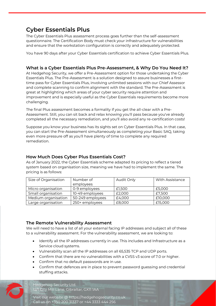# <span id="page-12-0"></span>**Cyber Essentials Plus**

The Cyber Essentials Plus assessment process goes further than the self-assessment questionnaire. The Certification Body must check your infrastructure for vulnerabilities and ensure that the workstation configuration is correctly and adequately protected.

You have 90 days after your Cyber Essentials certification to achieve Cyber Essentials Plus.

# <span id="page-12-1"></span>**What is a Cyber Essentials Plus Pre-Assessment, & Why Do You Need It?**

At Hedgehog Security, we offer a Pre-Assessment option for those undertaking the Cyber Essentials Plus. The Pre-Assessment is a solution designed to assure businesses a firsttime pass for Cyber Essentials Plus, involving unlimited sessions with our Chief Assessor and complete scanning to confirm alignment with the standard. The Pre-Assessment is great at highlighting which areas of your cyber security require attention and improvement and is especially useful as the Cyber Essentials requirements become more challenging.

The final Plus assessment becomes a formality if you get the all-clear with a Pre-Assessment. Still, you can sit back and relax knowing you'll pass because you've already completed all the necessary remediation, and you'll also avoid any re-certification costs!

Suppose you know your business has its sights set on Cyber Essentials Plus. In that case, you can start the Pre-Assessment simultaneously as completing your Basic SAQ, taking even more pressure off as you'll have plenty of time to complete any required remediation.

# <span id="page-12-2"></span>**How Much Does Cyber Plus Essentials Cost?**

As of January 2022, the Cyber Essentials scheme adapted its pricing to reflect a tiered system based on organisation size, meaning we have had to implement the same. The pricing is as follows:

| Size of Organisation | Number of<br>employees | Audit Only | <b>With Assistance</b> |
|----------------------|------------------------|------------|------------------------|
| Micro organisation   | 0-9 employees          | £1,500     | £5,000                 |
| Small organisation   | 10-49 employees        | £2,000     | £7,500                 |
| Medium organisation  | 50-249 employees       | £4,000     | £10,000                |
| Large organisation   | 250+ employees         | £8,000     | £15,000                |

# <span id="page-12-3"></span>**The Remote Vulnerability Assessment**

We will need to have a list of all your external facing IP addresses and subject all of these to a vulnerability assessment. For the vulnerability assessment, we are looking to:

- Identify all the IP addresses currently in use. This includes and Infrastructure as a Service cloud systems.
- Vulnerability scan all the IP addresses on all 65,535 TCP and UDP ports.
- Confirm that there are no vulnerabilities with a CVSS v3 score of 7.0 or higher.
- Confirm that no default passwords are in use.
- Confirm that defences are in place to prevent password guessing and credential stuffing attacks.

#### Hedgehog Security Ltd. 12/1 City Mill Lane, Gibraltar, GX11 1AA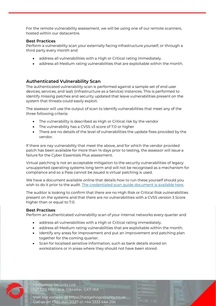For the remote vulnerability assessment, we will be using one of our remote scanners, hosted within our datacentre.

#### **Best Practices**

Perform a vulnerability scan your externally facing infrastructure yourself, or through a third party every month and

- address all vulnerabilities with a High or Critical rating immediately.
- address all Medium rating vulnerabilities that are exploitable within the month.

#### <span id="page-13-0"></span>**Authenticated Vulnerability Scan**

The authenticated vulnerability scan is performed against a sample set of end user devices, services, and IaaS (Infrastructure as a Service) instances. This is performed to identify missing patches and security updated that leave vulnerabilities present on the system that threats could easily exploit.

The assessor will use the output of scan to identify vulnerabilities that meet any of the three following criteria:

- The vulnerability is described as High or Critical risk by the vendor
- The vulnerability has a CVSS v3 score of 7.0 or higher
- There are no details of the level of vulnerabilities the update fixes provided by the vendor.

If there are nay vulnerability that meet the above, and for which the vendor provided patch has been available for more than 14 days prior to testing, the assessor will issue a failure for the Cyber Essentials Plus assessment.

Virtual patching is not an acceptable mitigation to the security vulnerabilities of legacy unsupported operating systems long term and will not be recognised as a mechanism for compliance and so a Pass cannot be issued is virtual patching is used.

We have a document available online that details how to run these yourself should you wish to do it prior to the audit. The credentialed scan quide document is available here.

The auditor is looking to confirm that there are no High Risk or Critical Risk vulnerabilities present on the systems and that there are no vulnerabilities with a CVSS version 3 Score higher than or equal to 7.0.

#### **Best Practises**

Perform an authenticated vulnerability scan of your internal networks every quarter and

- address all vulnerabilities with a High or Critical rating immediately.
- address all Medium rating vulnerabilities that are exploitable within the month.
- Identify any areas for improvement and put an improvement and patching plan together for the coming quarter.
- Scan for localised sensitive information, such as bank details stored on workstations or in areas where they should not have been stored.



Hedgehog Security Ltd. 12/1 City Mill Lane, Gibraltar, GX11 1AA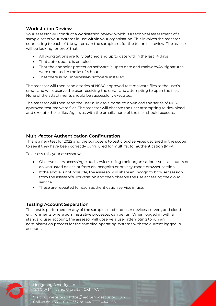# <span id="page-14-0"></span>**Workstation Review**

Your assessor will conduct a workstation review, which is a technical assessment of a sample set of your systems in use within your organisation. This involves the assessor connecting to each of the systems in the sample set for the technical review. The assessor will be looking for proof that:

- All workstations are fully patched and up to date within the last 14 days
- That auto-update is enabled
- That the endpoint protection software is up to date and malware/AV signatures were updated in the last 24 hours
- That there is no unnecessary software installed

The assessor will then send a series of NCSC approved test malware files to the user's email and will observe the user receiving the email and attempting to open the files. None of the attachments should be successfully executed.

The assessor will then send the user a link to a portal to download the series of NCSC approved test malware files. The assessor will observe the user attempting to download and execute these files. Again, as with the emails, none of the files should execute.

# <span id="page-14-1"></span>**Multi-factor Authentication Configuration**

This is a new test for 2022 and the purpose is to test cloud services declared in the scope to see if they have been correctly configured for multi factor authentication (MFA).

To assess this, your assessor will:

- Observe users accessing cloud services using their organisation issues accounts on an untrusted device or from an incognito or privacy-mode browser session.
- If the above is not possible, the assessor will share an incognito browser session from the assessor's workstation and then observe the use accessing the cloud service.
- These are repeated for each authentication service in use.

# <span id="page-14-2"></span>**Testing Account Separation**

This test is performed on any of the sample set of end user devices, servers, and cloud environments where administrative processes can be run. When logged in with a standard user account, the assessor will observe a user attempting to run an administration process for the sampled operating systems with the current logged in account.



Hedgehog Security Ltd. 12/1 City Mill Lane, Gibraltar, GX11 1AA